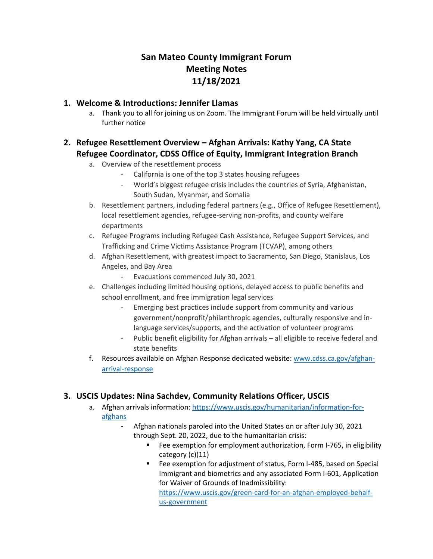# **San Mateo County Immigrant Forum Meeting Notes 11/18/2021**

## **1. Welcome & Introductions: Jennifer Llamas**

a. Thank you to all for joining us on Zoom. The Immigrant Forum will be held virtually until further notice

# **2. Refugee Resettlement Overview – Afghan Arrivals: Kathy Yang, CA State Refugee Coordinator, CDSS Office of Equity, Immigrant Integration Branch**

- a. Overview of the resettlement process
	- California is one of the top 3 states housing refugees
	- World's biggest refugee crisis includes the countries of Syria, Afghanistan, South Sudan, Myanmar, and Somalia
- b. Resettlement partners, including federal partners (e.g., Office of Refugee Resettlement), local resettlement agencies, refugee-serving non-profits, and county welfare departments
- c. Refugee Programs including Refugee Cash Assistance, Refugee Support Services, and Trafficking and Crime Victims Assistance Program (TCVAP), among others
- d. Afghan Resettlement, with greatest impact to Sacramento, San Diego, Stanislaus, Los Angeles, and Bay Area
	- Evacuations commenced July 30, 2021
- e. Challenges including limited housing options, delayed access to public benefits and school enrollment, and free immigration legal services
	- Emerging best practices include support from community and various government/nonprofit/philanthropic agencies, culturally responsive and inlanguage services/supports, and the activation of volunteer programs
	- Public benefit eligibility for Afghan arrivals all eligible to receive federal and state benefits
- f. Resources available on Afghan Response dedicated website: [www.cdss.ca.gov/afghan](https://protect-us.mimecast.com/s/aRvSCgJDnYF0PvjntoT0Gz)[arrival-response](https://protect-us.mimecast.com/s/aRvSCgJDnYF0PvjntoT0Gz)

## **3. USCIS Updates: Nina Sachdev, Community Relations Officer, USCIS**

- a. Afghan arrivals information: [https://www.uscis.gov/humanitarian/information-for](https://protect-us.mimecast.com/s/FbY9CNkKYDFXO6nxImaOKu)[afghans](https://protect-us.mimecast.com/s/FbY9CNkKYDFXO6nxImaOKu)
	- Afghan nationals paroled into the United States on or after July 30, 2021 through Sept. 20, 2022, due to the humanitarian crisis:
		- Fee exemption for employment authorization, Form I-765, in eligibility category (c)(11)
		- Fee exemption for adjustment of status, Form I-485, based on Special Immigrant and biometrics and any associated Form I-601, Application for Waiver of Grounds of Inadmissibility:

[https://www.uscis.gov/green-card-for-an-afghan-employed-behalf](https://protect-us.mimecast.com/s/FQ3OCOYXPlT47OPXcvyIVK)[us-government](https://protect-us.mimecast.com/s/FQ3OCOYXPlT47OPXcvyIVK)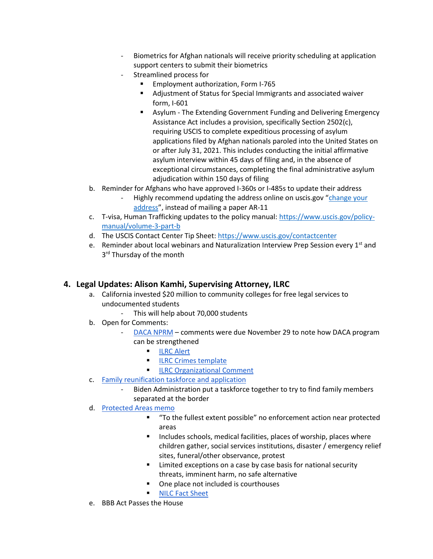- Biometrics for Afghan nationals will receive priority scheduling at application support centers to submit their biometrics
- Streamlined process for
	- Employment authorization, Form I-765
	- Adjustment of Status for Special Immigrants and associated waiver form, I-601
	- Asylum The Extending Government Funding and Delivering Emergency Assistance Act includes a provision, specifically Section 2502(c), requiring USCIS to complete expeditious processing of asylum applications filed by Afghan nationals paroled into the United States on or after July 31, 2021. This includes conducting the initial affirmative asylum interview within 45 days of filing and, in the absence of exceptional circumstances, completing the final administrative asylum adjudication within 150 days of filing
- b. Reminder for Afghans who have approved I-360s or I-485s to update their address
	- Highly recommend updating the address online on uscis.gov "change your [address](https://protect-us.mimecast.com/s/7T2DCPNKzmuMj6Dmt19cPm)", instead of mailing a paper AR-11
- c. T-visa, Human Trafficking updates to the policy manual: [https://www.uscis.gov/policy](https://protect-us.mimecast.com/s/aXr1CQWK6Jsr2RDqikIzlA)[manual/volume-3-part-b](https://protect-us.mimecast.com/s/aXr1CQWK6Jsr2RDqikIzlA)
- d. The USCIS Contact Center Tip Sheet: [https://www.uscis.gov/contactcenter](https://protect-us.mimecast.com/s/DvJnCR6KPYcBMOKluqR8Jk)
- e. Reminder about local webinars and Naturalization Interview Prep Session every  $1<sup>st</sup>$  and 3<sup>rd</sup> Thursday of the month

## **4. Legal Updates: Alison Kamhi, Supervising Attorney, ILRC**

- a. California invested \$20 million to community colleges for free legal services to undocumented students
	- This will help about 70,000 students
- b. Open for Comments:
	- [DACA NPRM](https://protect-us.mimecast.com/s/vxmFCrkqmZFVrl92i7K8OI) comments were due November 29 to note how DACA program can be strengthened
		- [ILRC Alert](https://protect-us.mimecast.com/s/pYM-Cv2x8qINEzXAiXSGj-)
		- **[ILRC Crimes template](https://protect-us.mimecast.com/s/KNM8CwpyK9c8v3pys9dxpp)**
		- **EXECO** Crganizational Comment
- c. [Family reunification taskforce and application](https://protect-us.mimecast.com/s/p6LSCyPA9lIX75nLtNf4BS)
	- Biden Administration put a taskforce together to try to find family members separated at the border
- d. [Protected Areas memo](https://protect-us.mimecast.com/s/Ak7zCzp47PcgGoL4uwT_b-)
	- "To the fullest extent possible" no enforcement action near protected areas
	- Includes schools, medical facilities, places of worship, places where children gather, social services institutions, disaster / emergency relief sites, funeral/other observance, protest
	- Limited exceptions on a case by case basis for national security threats, imminent harm, no safe alternative
	- One place not included is courthouses
	- [NILC Fact Sheet](https://protect-us.mimecast.com/s/t56KCADXMqF6ZAYEc23uD1)
- e. BBB Act Passes the House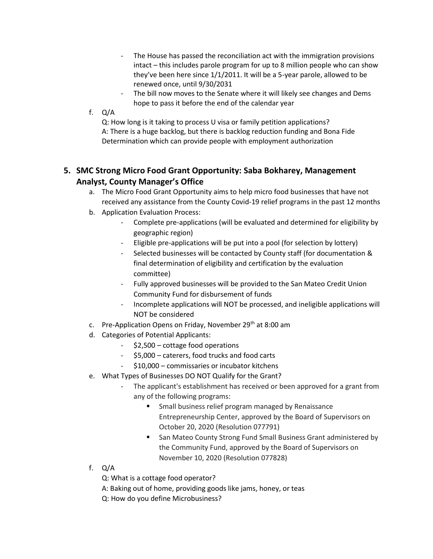- The House has passed the reconciliation act with the immigration provisions intact – this includes parole program for up to 8 million people who can show they've been here since 1/1/2011. It will be a 5-year parole, allowed to be renewed once, until 9/30/2031
- The bill now moves to the Senate where it will likely see changes and Dems hope to pass it before the end of the calendar year
- f. Q/A

Q: How long is it taking to process U visa or family petition applications? A: There is a huge backlog, but there is backlog reduction funding and Bona Fide Determination which can provide people with employment authorization

# **5. SMC Strong Micro Food Grant Opportunity: Saba Bokharey, Management Analyst, County Manager's Office**

- a. The Micro Food Grant Opportunity aims to help micro food businesses that have not received any assistance from the County Covid-19 relief programs in the past 12 months
- b. Application Evaluation Process:
	- Complete pre-applications (will be evaluated and determined for eligibility by geographic region)
	- Eligible pre-applications will be put into a pool (for selection by lottery)
	- Selected businesses will be contacted by County staff (for documentation & final determination of eligibility and certification by the evaluation committee)
	- Fully approved businesses will be provided to the San Mateo Credit Union Community Fund for disbursement of funds
	- Incomplete applications will NOT be processed, and ineligible applications will NOT be considered
- c. Pre-Application Opens on Friday, November 29<sup>th</sup> at 8:00 am
- d. Categories of Potential Applicants:
	- \$2,500 cottage food operations
	- \$5,000 caterers, food trucks and food carts
	- \$10,000 commissaries or incubator kitchens
- e. What Types of Businesses DO NOT Qualify for the Grant?
	- The applicant's establishment has received or been approved for a grant from any of the following programs:
		- Small business relief program managed by Renaissance Entrepreneurship Center, approved by the Board of Supervisors on October 20, 2020 (Resolution 077791)
		- San Mateo County Strong Fund Small Business Grant administered by the Community Fund, approved by the Board of Supervisors on November 10, 2020 (Resolution 077828)
- f. Q/A

Q: What is a cottage food operator?

- A: Baking out of home, providing goods like jams, honey, or teas
- Q: How do you define Microbusiness?